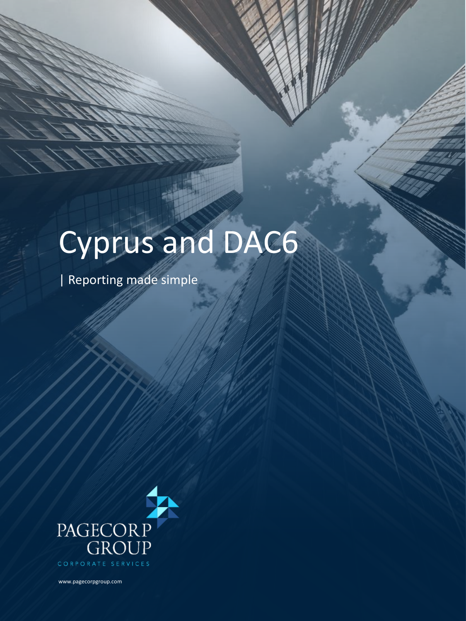## Cyprus and DAC6

| Reporting made simple



www.pagecorpgroup.com